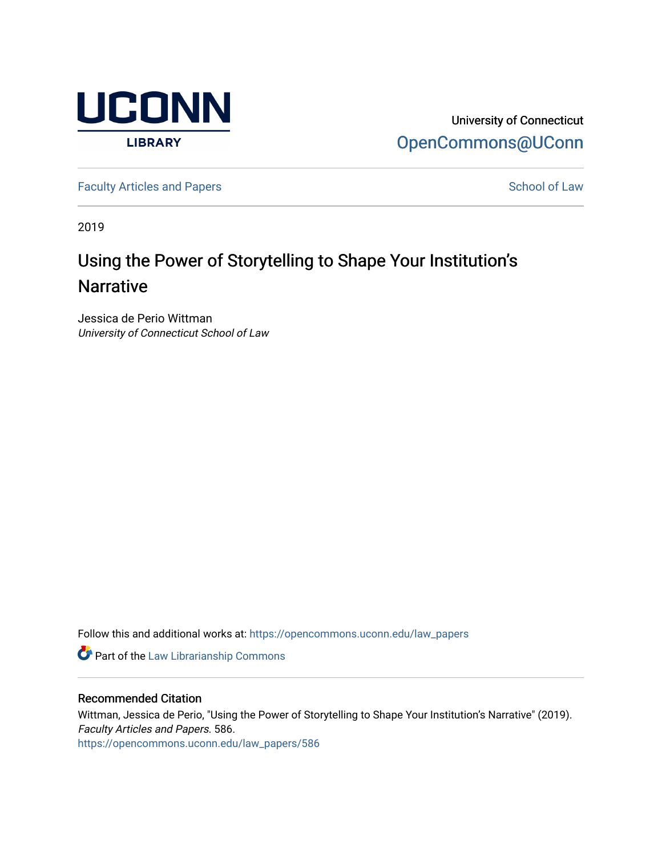

University of Connecticut [OpenCommons@UConn](https://opencommons.uconn.edu/) 

[Faculty Articles and Papers](https://opencommons.uconn.edu/law_papers) **School of Law** School of Law

2019

# Using the Power of Storytelling to Shape Your Institution's **Narrative**

Jessica de Perio Wittman University of Connecticut School of Law

Follow this and additional works at: [https://opencommons.uconn.edu/law\\_papers](https://opencommons.uconn.edu/law_papers?utm_source=opencommons.uconn.edu%2Flaw_papers%2F586&utm_medium=PDF&utm_campaign=PDFCoverPages) 

**Part of the [Law Librarianship Commons](https://network.bepress.com/hgg/discipline/1393?utm_source=opencommons.uconn.edu%2Flaw_papers%2F586&utm_medium=PDF&utm_campaign=PDFCoverPages)** 

### Recommended Citation

Wittman, Jessica de Perio, "Using the Power of Storytelling to Shape Your Institution's Narrative" (2019). Faculty Articles and Papers. 586. [https://opencommons.uconn.edu/law\\_papers/586](https://opencommons.uconn.edu/law_papers/586?utm_source=opencommons.uconn.edu%2Flaw_papers%2F586&utm_medium=PDF&utm_campaign=PDFCoverPages)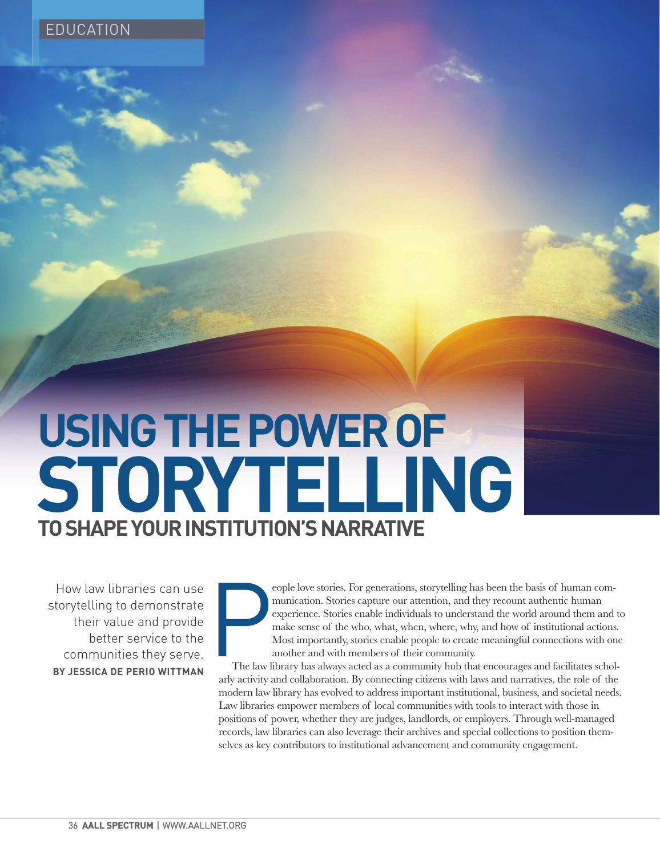**USING THE POWER OF TO SHAPE YOUR INSTITUTION'S NARRATIVE STORYTELLING**

How law libraries can use<br>torytelling to demonstrate<br>their value and provide<br>better service to the<br>communities they serve.<br>BY JESSICA DE PERIO WITTMAN<br>36 AALL SPECTRUM I WWW.AALL storytelling to demonstrate their value and provide better service to the communities they serve. **BY JESSICA DE PERIO WITTMAN**

**Particular** eople love stories. For generations, storytelling has been the basis of human communication. Stories capture our attention, and they recount authentic human experience. Stories enable individuals to understand the world around them and to make sense of the who, what, when, where, why, and how of institutional actions. Most importantly, stories enable people to create meaningful connections with one another and with members of their community.

The law library has always acted as a community hub that encourages and facilitates scholarly activity and collaboration. By connecting citizens with laws and narratives, the role of the modern law library has evolved to address important institutional, business, and societal needs. Law libraries empower members of local communities with tools to interact with those in positions of power, whether they are judges, landlords, or employers. Through well-managed records, law libraries can also leverage their archives and special collections to position themselves as key contributors to institutional advancement and community engagement.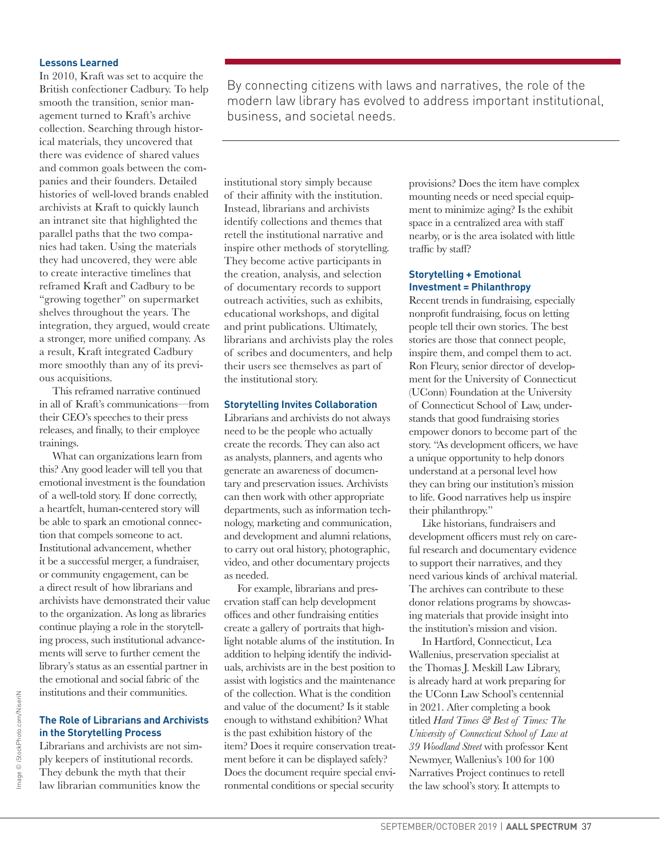#### **Lessons Learned**

In 2010, Kraft was set to acquire the British confectioner Cadbury. To help smooth the transition, senior management turned to Kraft's archive collection. Searching through historical materials, they uncovered that there was evidence of shared values and common goals between the companies and their founders. Detailed histories of well-loved brands enabled archivists at Kraft to quickly launch an intranet site that highlighted the parallel paths that the two companies had taken. Using the materials they had uncovered, they were able to create interactive timelines that reframed Kraft and Cadbury to be "growing together" on supermarket shelves throughout the years. The integration, they argued, would create a stronger, more unified company. As a result, Kraft integrated Cadbury more smoothly than any of its previous acquisitions.

This reframed narrative continued in all of Kraft's communications—from their CEO's speeches to their press releases, and finally, to their employee trainings.

What can organizations learn from this? Any good leader will tell you that emotional investment is the foundation of a well-told story. If done correctly, a heartfelt, human-centered story will be able to spark an emotional connection that compels someone to act. Institutional advancement, whether it be a successful merger, a fundraiser, or community engagement, can be a direct result of how librarians and archivists have demonstrated their value to the organization. As long as libraries continue playing a role in the storytelling process, such institutional advancements will serve to further cement the library's status as an essential partner in the emotional and social fabric of the institutions and their communities.

## **The Role of Librarians and Archivists in the Storytelling Process**

Librarians and archivists are not simply keepers of institutional records. They debunk the myth that their law librarian communities know the

By connecting citizens with laws and narratives, the role of the modern law library has evolved to address important institutional, business, and societal needs.

institutional story simply because of their affinity with the institution. Instead, librarians and archivists identify collections and themes that retell the institutional narrative and inspire other methods of storytelling. They become active participants in the creation, analysis, and selection of documentary records to support outreach activities, such as exhibits, educational workshops, and digital and print publications. Ultimately, librarians and archivists play the roles of scribes and documenters, and help their users see themselves as part of the institutional story.

#### **Storytelling Invites Collaboration**

Librarians and archivists do not always need to be the people who actually create the records. They can also act as analysts, planners, and agents who generate an awareness of documentary and preservation issues. Archivists can then work with other appropriate departments, such as information technology, marketing and communication, and development and alumni relations, to carry out oral history, photographic, video, and other documentary projects as needed.

For example, librarians and preservation staff can help development offices and other fundraising entities create a gallery of portraits that highlight notable alums of the institution. In addition to helping identify the individuals, archivists are in the best position to assist with logistics and the maintenance of the collection. What is the condition and value of the document? Is it stable enough to withstand exhibition? What is the past exhibition history of the item? Does it require conservation treatment before it can be displayed safely? Does the document require special environmental conditions or special security

provisions? Does the item have complex mounting needs or need special equipment to minimize aging? Is the exhibit space in a centralized area with staff nearby, or is the area isolated with little traffic by staff?

#### **Storytelling + Emotional Investment = Philanthropy**

Recent trends in fundraising, especially nonprofit fundraising, focus on letting people tell their own stories. The best stories are those that connect people, inspire them, and compel them to act. Ron Fleury, senior director of development for the University of Connecticut (UConn) Foundation at the University of Connecticut School of Law, understands that good fundraising stories empower donors to become part of the story. "As development officers, we have a unique opportunity to help donors understand at a personal level how they can bring our institution's mission to life. Good narratives help us inspire their philanthropy."

Like historians, fundraisers and development officers must rely on careful research and documentary evidence to support their narratives, and they need various kinds of archival material. The archives can contribute to these donor relations programs by showcasing materials that provide insight into the institution's mission and vision.

In Hartford, Connecticut, Lea Wallenius, preservation specialist at the Thomas J. Meskill Law Library, is already hard at work preparing for the UConn Law School's centennial in 2021. After completing a book titled *Hard Times & Best of Times: The University of Connecticut School of Law at 39 Woodland Street* with professor Kent Newmyer, Wallenius's 100 for 100 Narratives Project continues to retell the law school's story. It attempts to